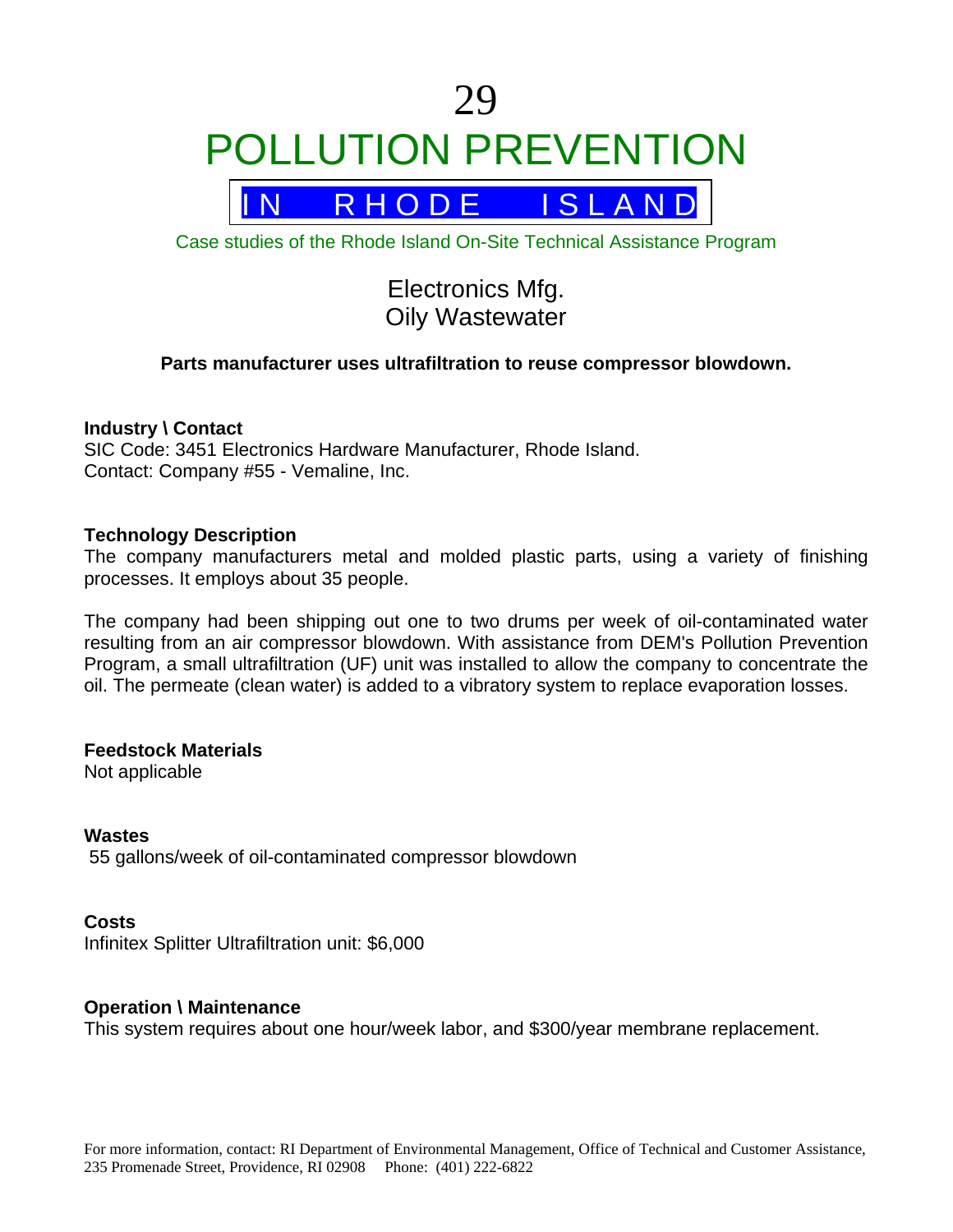# 29 POLLUTION PREVENTION



Case studies of the Rhode Island On-Site Technical Assistance Program

# Electronics Mfg. Oily Wastewater

# **Parts manufacturer uses ultrafiltration to reuse compressor blowdown.**

#### **Industry \ Contact**

SIC Code: 3451 Electronics Hardware Manufacturer, Rhode Island. Contact: Company #55 - Vemaline, Inc.

#### **Technology Description**

The company manufacturers metal and molded plastic parts, using a variety of finishing processes. It employs about 35 people.

The company had been shipping out one to two drums per week of oil-contaminated water resulting from an air compressor blowdown. With assistance from DEM's Pollution Prevention Program, a small ultrafiltration (UF) unit was installed to allow the company to concentrate the oil. The permeate (clean water) is added to a vibratory system to replace evaporation losses.

# **Feedstock Materials**

Not applicable

#### **Wastes**

55 gallons/week of oil-contaminated compressor blowdown

# **Costs**

Infinitex Splitter Ultrafiltration unit: \$6,000

# **Operation \ Maintenance**

This system requires about one hour/week labor, and \$300/year membrane replacement.